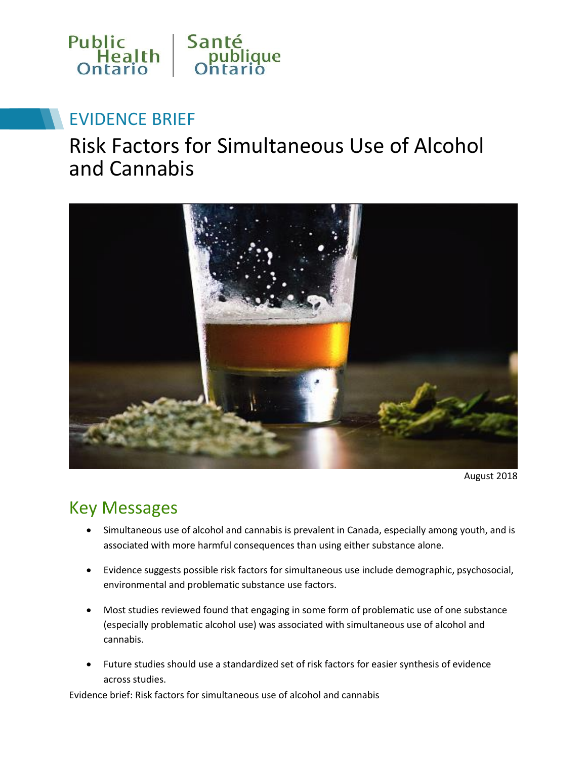

# EVIDENCE BRIEF

# Risk Factors for Simultaneous Use of Alcohol and Cannabis



August 2018

### Key Messages

- Simultaneous use of alcohol and cannabis is prevalent in Canada, especially among youth, and is associated with more harmful consequences than using either substance alone.
- Evidence suggests possible risk factors for simultaneous use include demographic, psychosocial, environmental and problematic substance use factors.
- Most studies reviewed found that engaging in some form of problematic use of one substance (especially problematic alcohol use) was associated with simultaneous use of alcohol and cannabis.
- Future studies should use a standardized set of risk factors for easier synthesis of evidence across studies.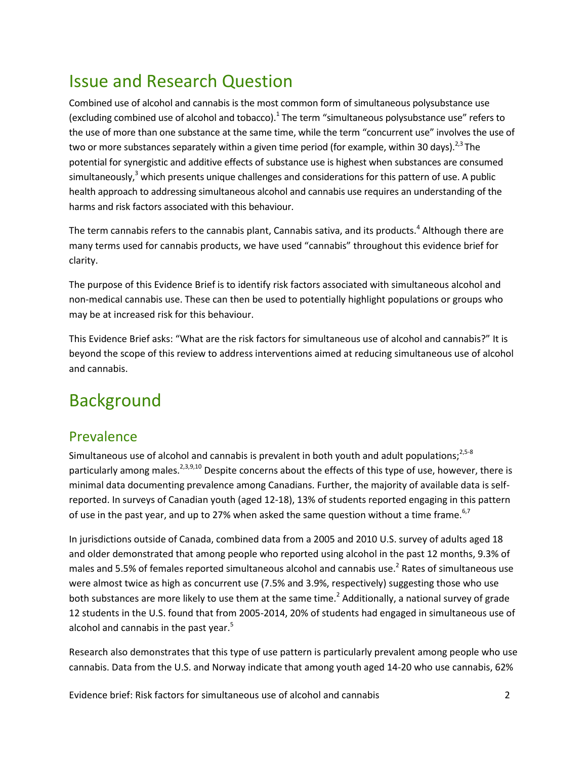## Issue and Research Question

Combined use of alcohol and cannabis is the most common form of simultaneous polysubstance use (excluding combined use of alcohol and tobacco). $^1$  The term "simultaneous polysubstance use" refers to the use of more than one substance at the same time, while the term "concurrent use" involves the use of two or more substances separately within a given time period (for example, within 30 days).<sup>2,3</sup> The potential for synergistic and additive effects of substance use is highest when substances are consumed simultaneously,<sup>3</sup> which presents unique challenges and considerations for this pattern of use. A public health approach to addressing simultaneous alcohol and cannabis use requires an understanding of the harms and risk factors associated with this behaviour.

The term cannabis refers to the cannabis plant, Cannabis sativa, and its products.<sup>4</sup> Although there are many terms used for cannabis products, we have used "cannabis" throughout this evidence brief for clarity.

The purpose of this Evidence Brief is to identify risk factors associated with simultaneous alcohol and non-medical cannabis use. These can then be used to potentially highlight populations or groups who may be at increased risk for this behaviour.

This Evidence Brief asks: "What are the risk factors for simultaneous use of alcohol and cannabis?" It is beyond the scope of this review to address interventions aimed at reducing simultaneous use of alcohol and cannabis.

# Background

#### Prevalence

Simultaneous use of alcohol and cannabis is prevalent in both youth and adult populations;<sup>2,5-8</sup> particularly among males.<sup>2,3,9,10</sup> Despite concerns about the effects of this type of use, however, there is minimal data documenting prevalence among Canadians. Further, the majority of available data is selfreported. In surveys of Canadian youth (aged 12-18), 13% of students reported engaging in this pattern of use in the past year, and up to 27% when asked the same question without a time frame.<sup>6,7</sup>

In jurisdictions outside of Canada, combined data from a 2005 and 2010 U.S. survey of adults aged 18 and older demonstrated that among people who reported using alcohol in the past 12 months, 9.3% of males and 5.5% of females reported simultaneous alcohol and cannabis use.<sup>2</sup> Rates of simultaneous use were almost twice as high as concurrent use (7.5% and 3.9%, respectively) suggesting those who use both substances are more likely to use them at the same time.<sup>2</sup> Additionally, a national survey of grade 12 students in the U.S. found that from 2005-2014, 20% of students had engaged in simultaneous use of alcohol and cannabis in the past year.<sup>5</sup>

Research also demonstrates that this type of use pattern is particularly prevalent among people who use cannabis. Data from the U.S. and Norway indicate that among youth aged 14-20 who use cannabis, 62%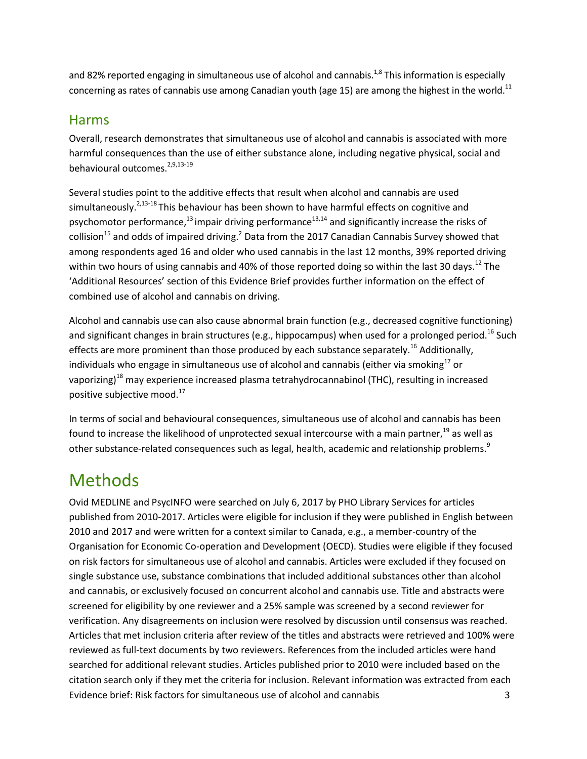and 82% reported engaging in simultaneous use of alcohol and cannabis.<sup>1,8</sup> This information is especially concerning as rates of cannabis use among Canadian youth (age 15) are among the highest in the world.<sup>11</sup>

#### Harms

Overall, research demonstrates that simultaneous use of alcohol and cannabis is associated with more harmful consequences than the use of either substance alone, including negative physical, social and behavioural outcomes.<sup>2,9,13-19</sup>

Several studies point to the additive effects that result when alcohol and cannabis are used simultaneously.<sup>2,13-18</sup> This behaviour has been shown to have harmful effects on cognitive and psychomotor performance, $^{13}$  impair driving performance $^{13,14}$  and significantly increase the risks of collision<sup>15</sup> and odds of impaired driving.<sup>2</sup> Data from the 2017 Canadian Cannabis Survey showed that among respondents aged 16 and older who used cannabis in the last 12 months, 39% reported driving within two hours of using cannabis and 40% of those reported doing so within the last 30 days.<sup>12</sup> The 'Additional Resources' section of this Evidence Brief provides further information on the effect of combined use of alcohol and cannabis on driving.

Alcohol and cannabis use can also cause abnormal brain function (e.g., decreased cognitive functioning) and significant changes in brain structures (e.g., hippocampus) when used for a prolonged period.<sup>16</sup> Such effects are more prominent than those produced by each substance separately.<sup>16</sup> Additionally, individuals who engage in simultaneous use of alcohol and cannabis (either via smoking $^{17}$  or vaporizing)<sup>18</sup> may experience increased plasma tetrahydrocannabinol (THC), resulting in increased positive subjective mood.<sup>17</sup>

In terms of social and behavioural consequences, simultaneous use of alcohol and cannabis has been found to increase the likelihood of unprotected sexual intercourse with a main partner,<sup>19</sup> as well as other substance-related consequences such as legal, health, academic and relationship problems.<sup>9</sup>

# Methods

Evidence brief: Risk factors for simultaneous use of alcohol and cannabis 3 Ovid MEDLINE and PsycINFO were searched on July 6, 2017 by PHO Library Services for articles published from 2010-2017. Articles were eligible for inclusion if they were published in English between 2010 and 2017 and were written for a context similar to Canada, e.g., a member-country of the Organisation for Economic Co-operation and Development (OECD). Studies were eligible if they focused on risk factors for simultaneous use of alcohol and cannabis. Articles were excluded if they focused on single substance use, substance combinations that included additional substances other than alcohol and cannabis, or exclusively focused on concurrent alcohol and cannabis use. Title and abstracts were screened for eligibility by one reviewer and a 25% sample was screened by a second reviewer for verification. Any disagreements on inclusion were resolved by discussion until consensus was reached. Articles that met inclusion criteria after review of the titles and abstracts were retrieved and 100% were reviewed as full-text documents by two reviewers. References from the included articles were hand searched for additional relevant studies. Articles published prior to 2010 were included based on the citation search only if they met the criteria for inclusion. Relevant information was extracted from each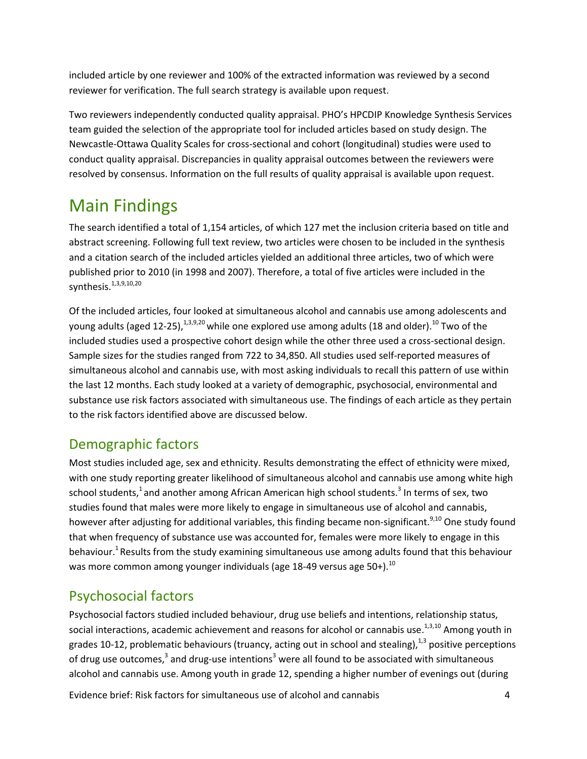included article by one reviewer and 100% of the extracted information was reviewed by a second reviewer for verification. The full search strategy is available upon request.

Two reviewers independently conducted quality appraisal. PHO's HPCDIP Knowledge Synthesis Services team guided the selection of the appropriate tool for included articles based on study design. The Newcastle-Ottawa Quality Scales for cross-sectional and cohort (longitudinal) studies were used to conduct quality appraisal. Discrepancies in quality appraisal outcomes between the reviewers were resolved by consensus. Information on the full results of quality appraisal is available upon request.

# Main Findings

The search identified a total of 1,154 articles, of which 127 met the inclusion criteria based on title and abstract screening. Following full text review, two articles were chosen to be included in the synthesis and a citation search of the included articles yielded an additional three articles, two of which were published prior to 2010 (in 1998 and 2007). Therefore, a total of five articles were included in the synthesis. 1,3,9,10,20

Of the included articles, four looked at simultaneous alcohol and cannabis use among adolescents and young adults (aged 12-25), $^{1,3,9,20}$  while one explored use among adults (18 and older). $^{10}$  Two of the included studies used a prospective cohort design while the other three used a cross-sectional design. Sample sizes for the studies ranged from 722 to 34,850. All studies used self-reported measures of simultaneous alcohol and cannabis use, with most asking individuals to recall this pattern of use within the last 12 months. Each study looked at a variety of demographic, psychosocial, environmental and substance use risk factors associated with simultaneous use. The findings of each article as they pertain to the risk factors identified above are discussed below.

#### Demographic factors

Most studies included age, sex and ethnicity. Results demonstrating the effect of ethnicity were mixed, with one study reporting greater likelihood of simultaneous alcohol and cannabis use among white high school students,<sup>1</sup> and another among African American high school students.<sup>3</sup> In terms of sex, two studies found that males were more likely to engage in simultaneous use of alcohol and cannabis, however after adjusting for additional variables, this finding became non-significant.<sup>9,10</sup> One study found that when frequency of substance use was accounted for, females were more likely to engage in this behaviour.<sup>1</sup> Results from the study examining simultaneous use among adults found that this behaviour was more common among younger individuals (age 18-49 versus age 50+). $^{10}$ 

#### Psychosocial factors

Psychosocial factors studied included behaviour, drug use beliefs and intentions, relationship status, social interactions, academic achievement and reasons for alcohol or cannabis use.<sup>1,3,10</sup> Among youth in grades 10-12, problematic behaviours (truancy, acting out in school and stealing),  $1,3$  positive perceptions of drug use outcomes,<sup>3</sup> and drug-use intentions<sup>3</sup> were all found to be associated with simultaneous alcohol and cannabis use. Among youth in grade 12, spending a higher number of evenings out (during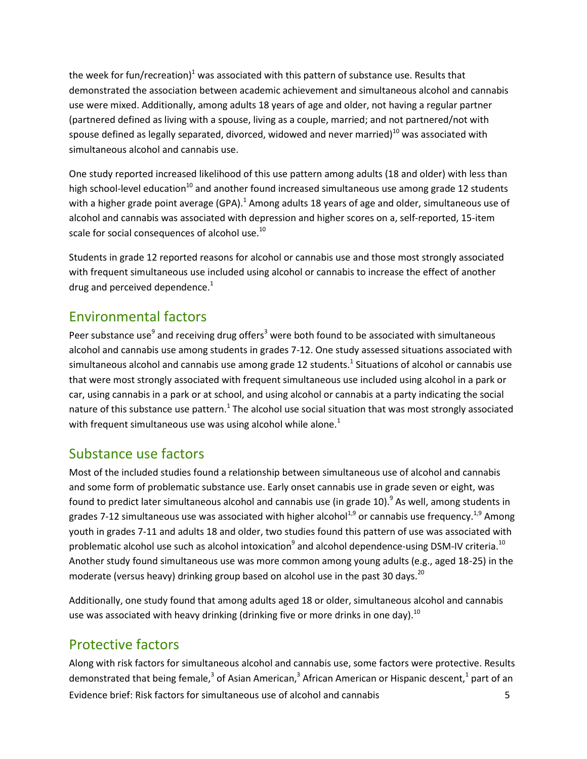the week for fun/recreation)<sup>1</sup> was associated with this pattern of substance use. Results that demonstrated the association between academic achievement and simultaneous alcohol and cannabis use were mixed. Additionally, among adults 18 years of age and older, not having a regular partner (partnered defined as living with a spouse, living as a couple, married; and not partnered/not with spouse defined as legally separated, divorced, widowed and never married) $^{10}$  was associated with simultaneous alcohol and cannabis use.

One study reported increased likelihood of this use pattern among adults (18 and older) with less than high school-level education<sup>10</sup> and another found increased simultaneous use among grade 12 students with a higher grade point average (GPA). $^1$  Among adults 18 years of age and older, simultaneous use of alcohol and cannabis was associated with depression and higher scores on a, self-reported, 15-item scale for social consequences of alcohol use. $^{10}$ 

Students in grade 12 reported reasons for alcohol or cannabis use and those most strongly associated with frequent simultaneous use included using alcohol or cannabis to increase the effect of another drug and perceived dependence. $1$ 

#### Environmental factors

Peer substance use<sup>9</sup> and receiving drug offers<sup>3</sup> were both found to be associated with simultaneous alcohol and cannabis use among students in grades 7-12. One study assessed situations associated with simultaneous alcohol and cannabis use among grade 12 students. $^{1}$  Situations of alcohol or cannabis use that were most strongly associated with frequent simultaneous use included using alcohol in a park or car, using cannabis in a park or at school, and using alcohol or cannabis at a party indicating the social nature of this substance use pattern.<sup>1</sup> The alcohol use social situation that was most strongly associated with frequent simultaneous use was using alcohol while alone. $<sup>1</sup>$ </sup>

#### Substance use factors

Most of the included studies found a relationship between simultaneous use of alcohol and cannabis and some form of problematic substance use. Early onset cannabis use in grade seven or eight, was found to predict later simultaneous alcohol and cannabis use (in grade 10).<sup>9</sup> As well, among students in grades 7-12 simultaneous use was associated with higher alcohol<sup>1,9</sup> or cannabis use frequency.<sup>1,9</sup> Among youth in grades 7-11 and adults 18 and older, two studies found this pattern of use was associated with problematic alcohol use such as alcohol intoxication<sup>9</sup> and alcohol dependence-using DSM-IV criteria.<sup>10</sup> Another study found simultaneous use was more common among young adults (e.g., aged 18-25) in the moderate (versus heavy) drinking group based on alcohol use in the past 30 days.<sup>20</sup>

Additionally, one study found that among adults aged 18 or older, simultaneous alcohol and cannabis use was associated with heavy drinking (drinking five or more drinks in one day). $^{10}$ 

#### Protective factors

Evidence brief: Risk factors for simultaneous use of alcohol and cannabis 5 Along with risk factors for simultaneous alcohol and cannabis use, some factors were protective. Results demonstrated that being female,<sup>3</sup> of Asian American,<sup>3</sup> African American or Hispanic descent,<sup>1</sup> part of an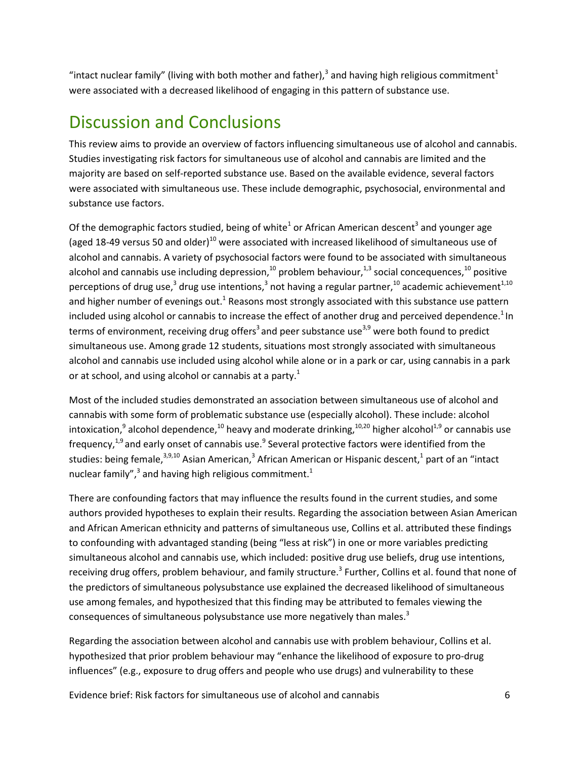"intact nuclear family" (living with both mother and father),<sup>3</sup> and having high religious commitment<sup>1</sup> were associated with a decreased likelihood of engaging in this pattern of substance use.

### Discussion and Conclusions

This review aims to provide an overview of factors influencing simultaneous use of alcohol and cannabis. Studies investigating risk factors for simultaneous use of alcohol and cannabis are limited and the majority are based on self-reported substance use. Based on the available evidence, several factors were associated with simultaneous use. These include demographic, psychosocial, environmental and substance use factors.

Of the demographic factors studied, being of white<sup>1</sup> or African American descent<sup>3</sup> and younger age (aged 18-49 versus 50 and older)<sup>10</sup> were associated with increased likelihood of simultaneous use of alcohol and cannabis. A variety of psychosocial factors were found to be associated with simultaneous alcohol and cannabis use including depression,<sup>10</sup> problem behaviour,<sup>1,3</sup> social concequences,<sup>10</sup> positive perceptions of drug use,<sup>3</sup> drug use intentions,<sup>3</sup> not having a regular partner,<sup>10</sup> academic achievement<sup>1,10</sup> and higher number of evenings out.<sup>1</sup> Reasons most strongly associated with this substance use pattern included using alcohol or cannabis to increase the effect of another drug and perceived dependence.<sup>1</sup> In terms of environment, receiving drug offers<sup>3</sup> and peer substance use<sup>3,9</sup> were both found to predict simultaneous use. Among grade 12 students, situations most strongly associated with simultaneous alcohol and cannabis use included using alcohol while alone or in a park or car, using cannabis in a park or at school, and using alcohol or cannabis at a party.<sup>1</sup>

Most of the included studies demonstrated an association between simultaneous use of alcohol and cannabis with some form of problematic substance use (especially alcohol). These include: alcohol intoxication,<sup>9</sup> alcohol dependence,<sup>10</sup> heavy and moderate drinking,<sup>10,20</sup> higher alcohol<sup>1,9</sup> or cannabis use frequency,<sup>1,9</sup> and early onset of cannabis use.<sup>9</sup> Several protective factors were identified from the studies: being female, $^{3,9,10}$  Asian American, $^3$  African American or Hispanic descent, $^1$  part of an "intact nuclear family", $^3$  and having high religious commitment. $^1$ 

There are confounding factors that may influence the results found in the current studies, and some authors provided hypotheses to explain their results. Regarding the association between Asian American and African American ethnicity and patterns of simultaneous use, Collins et al. attributed these findings to confounding with advantaged standing (being "less at risk") in one or more variables predicting simultaneous alcohol and cannabis use, which included: positive drug use beliefs, drug use intentions, receiving drug offers, problem behaviour, and family structure.<sup>3</sup> Further, Collins et al. found that none of the predictors of simultaneous polysubstance use explained the decreased likelihood of simultaneous use among females, and hypothesized that this finding may be attributed to females viewing the consequences of simultaneous polysubstance use more negatively than males.<sup>3</sup>

Regarding the association between alcohol and cannabis use with problem behaviour, Collins et al. hypothesized that prior problem behaviour may "enhance the likelihood of exposure to pro-drug influences" (e.g., exposure to drug offers and people who use drugs) and vulnerability to these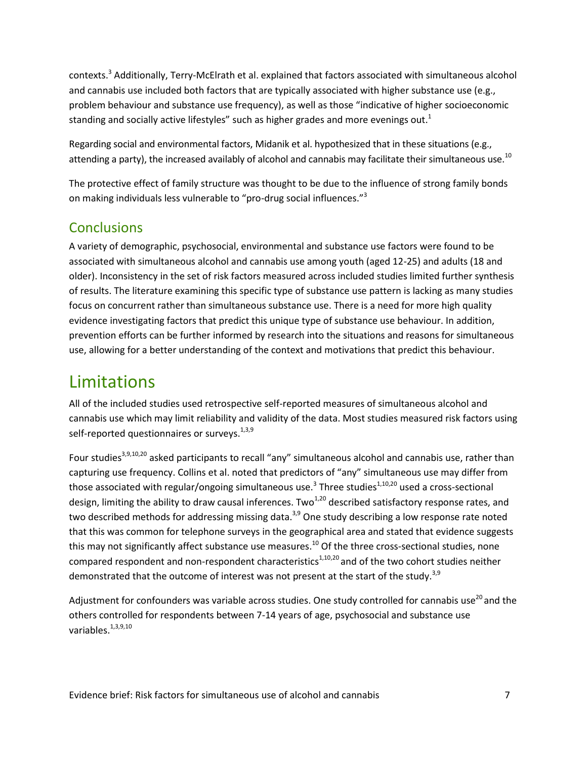contexts.<sup>3</sup> Additionally, Terry-McElrath et al. explained that factors associated with simultaneous alcohol and cannabis use included both factors that are typically associated with higher substance use (e.g., problem behaviour and substance use frequency), as well as those "indicative of higher socioeconomic standing and socially active lifestyles" such as higher grades and more evenings out.<sup>1</sup>

Regarding social and environmental factors, Midanik et al. hypothesized that in these situations (e.g., attending a party), the increased availably of alcohol and cannabis may facilitate their simultaneous use.<sup>10</sup>

The protective effect of family structure was thought to be due to the influence of strong family bonds on making individuals less vulnerable to "pro-drug social influences."<sup>3</sup>

#### **Conclusions**

A variety of demographic, psychosocial, environmental and substance use factors were found to be associated with simultaneous alcohol and cannabis use among youth (aged 12-25) and adults (18 and older). Inconsistency in the set of risk factors measured across included studies limited further synthesis of results. The literature examining this specific type of substance use pattern is lacking as many studies focus on concurrent rather than simultaneous substance use. There is a need for more high quality evidence investigating factors that predict this unique type of substance use behaviour. In addition, prevention efforts can be further informed by research into the situations and reasons for simultaneous use, allowing for a better understanding of the context and motivations that predict this behaviour.

### Limitations

All of the included studies used retrospective self-reported measures of simultaneous alcohol and cannabis use which may limit reliability and validity of the data. Most studies measured risk factors using self-reported questionnaires or surveys.<sup>1,3,9</sup>

Four studies<sup>3,9,10,20</sup> asked participants to recall "any" simultaneous alcohol and cannabis use, rather than capturing use frequency. Collins et al. noted that predictors of "any" simultaneous use may differ from those associated with regular/ongoing simultaneous use.<sup>3</sup> Three studies<sup>1,10,20</sup> used a cross-sectional design, limiting the ability to draw causal inferences. Two<sup>1,20</sup> described satisfactory response rates, and two described methods for addressing missing data.<sup>3,9</sup> One study describing a low response rate noted that this was common for telephone surveys in the geographical area and stated that evidence suggests this may not significantly affect substance use measures.<sup>10</sup> Of the three cross-sectional studies, none compared respondent and non-respondent characteristics<sup>1,10,20</sup> and of the two cohort studies neither demonstrated that the outcome of interest was not present at the start of the study.<sup>3,9</sup>

Adjustment for confounders was variable across studies. One study controlled for cannabis use<sup>20</sup> and the others controlled for respondents between 7-14 years of age, psychosocial and substance use variables. $^{1,3,9,10}$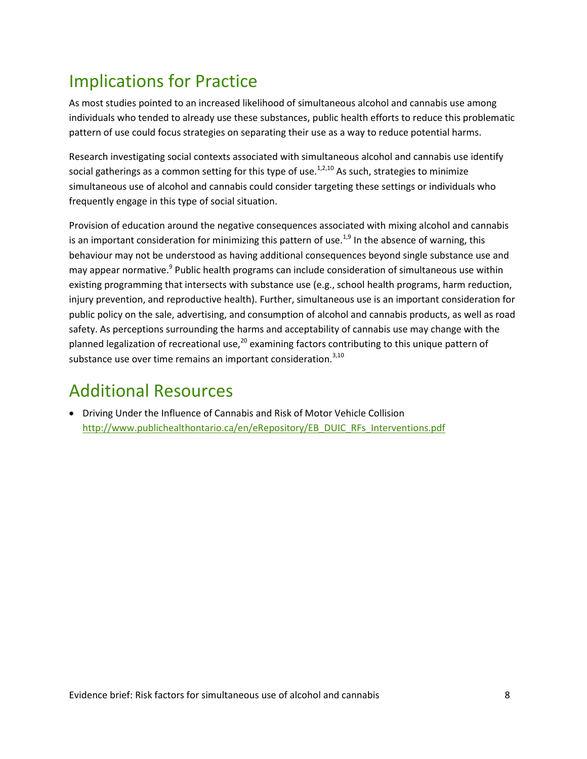# Implications for Practice

As most studies pointed to an increased likelihood of simultaneous alcohol and cannabis use among individuals who tended to already use these substances, public health efforts to reduce this problematic pattern of use could focus strategies on separating their use as a way to reduce potential harms.

Research investigating social contexts associated with simultaneous alcohol and cannabis use identify social gatherings as a common setting for this type of use.<sup>1,2,10</sup> As such, strategies to minimize simultaneous use of alcohol and cannabis could consider targeting these settings or individuals who frequently engage in this type of social situation.

Provision of education around the negative consequences associated with mixing alcohol and cannabis is an important consideration for minimizing this pattern of use.<sup>1,9</sup> In the absence of warning, this behaviour may not be understood as having additional consequences beyond single substance use and may appear normative.<sup>9</sup> Public health programs can include consideration of simultaneous use within existing programming that intersects with substance use (e.g., school health programs, harm reduction, injury prevention, and reproductive health). Further, simultaneous use is an important consideration for public policy on the sale, advertising, and consumption of alcohol and cannabis products, as well as road safety. As perceptions surrounding the harms and acceptability of cannabis use may change with the planned legalization of recreational use, $^{20}$  examining factors contributing to this unique pattern of substance use over time remains an important consideration. $3,10$ 

# Additional Resources

 Driving Under the Influence of Cannabis and Risk of Motor Vehicle Collision [http://www.publichealthontario.ca/en/eRepository/EB\\_DUIC\\_RFs\\_Interventions.pdf](http://www.publichealthontario.ca/en/eRepository/EB_DUIC_RFs_Interventions.pdf)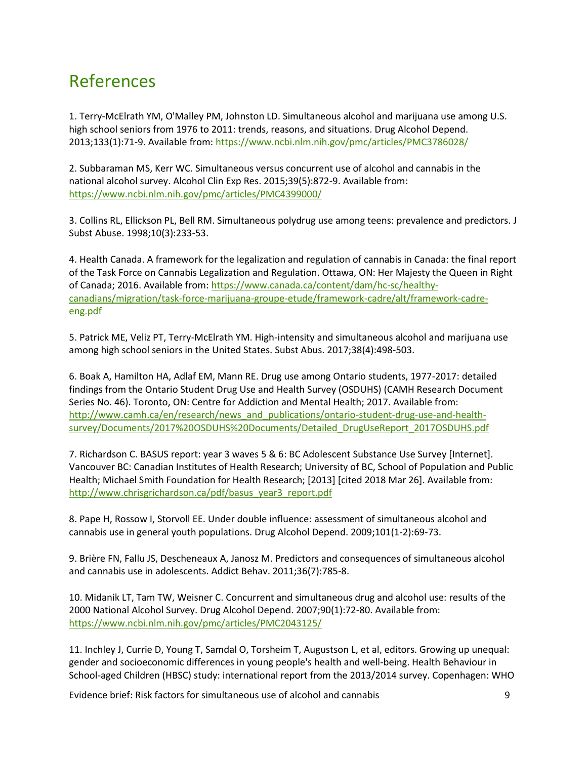### References

1. Terry-McElrath YM, O'Malley PM, Johnston LD. Simultaneous alcohol and marijuana use among U.S. high school seniors from 1976 to 2011: trends, reasons, and situations. Drug Alcohol Depend. 2013;133(1):71-9. Available from:<https://www.ncbi.nlm.nih.gov/pmc/articles/PMC3786028/>

2. Subbaraman MS, Kerr WC. Simultaneous versus concurrent use of alcohol and cannabis in the national alcohol survey. Alcohol Clin Exp Res. 2015;39(5):872-9. Available from: <https://www.ncbi.nlm.nih.gov/pmc/articles/PMC4399000/>

3. Collins RL, Ellickson PL, Bell RM. Simultaneous polydrug use among teens: prevalence and predictors. J Subst Abuse. 1998;10(3):233-53.

4. Health Canada. A framework for the legalization and regulation of cannabis in Canada: the final report of the Task Force on Cannabis Legalization and Regulation. Ottawa, ON: Her Majesty the Queen in Right of Canada; 2016. Available from: [https://www.canada.ca/content/dam/hc-sc/healthy](https://www.canada.ca/content/dam/hc-sc/healthy-canadians/migration/task-force-marijuana-groupe-etude/framework-cadre/alt/framework-cadre-eng.pdf)[canadians/migration/task-force-marijuana-groupe-etude/framework-cadre/alt/framework-cadre](https://www.canada.ca/content/dam/hc-sc/healthy-canadians/migration/task-force-marijuana-groupe-etude/framework-cadre/alt/framework-cadre-eng.pdf)[eng.pdf](https://www.canada.ca/content/dam/hc-sc/healthy-canadians/migration/task-force-marijuana-groupe-etude/framework-cadre/alt/framework-cadre-eng.pdf)

5. Patrick ME, Veliz PT, Terry-McElrath YM. High-intensity and simultaneous alcohol and marijuana use among high school seniors in the United States. Subst Abus. 2017;38(4):498-503.

6. Boak A, Hamilton HA, Adlaf EM, Mann RE. Drug use among Ontario students, 1977-2017: detailed findings from the Ontario Student Drug Use and Health Survey (OSDUHS) (CAMH Research Document Series No. 46). Toronto, ON: Centre for Addiction and Mental Health; 2017. Available from: [http://www.camh.ca/en/research/news\\_and\\_publications/ontario-student-drug-use-and-health](http://www.camh.ca/en/research/news_and_publications/ontario-student-drug-use-and-health-survey/Documents/2017%20OSDUHS%20Documents/Detailed_DrugUseReport_2017OSDUHS.pdf)[survey/Documents/2017%20OSDUHS%20Documents/Detailed\\_DrugUseReport\\_2017OSDUHS.pdf](http://www.camh.ca/en/research/news_and_publications/ontario-student-drug-use-and-health-survey/Documents/2017%20OSDUHS%20Documents/Detailed_DrugUseReport_2017OSDUHS.pdf)

7. Richardson C. BASUS report: year 3 waves 5 & 6: BC Adolescent Substance Use Survey [Internet]. Vancouver BC: Canadian Institutes of Health Research; University of BC, School of Population and Public Health; Michael Smith Foundation for Health Research; [2013] [cited 2018 Mar 26]. Available from: [http://www.chrisgrichardson.ca/pdf/basus\\_year3\\_report.pdf](http://www.chrisgrichardson.ca/pdf/basus_year3_report.pdf)

8. Pape H, Rossow I, Storvoll EE. Under double influence: assessment of simultaneous alcohol and cannabis use in general youth populations. Drug Alcohol Depend. 2009;101(1-2):69-73.

9. Brière FN, Fallu JS, Descheneaux A, Janosz M. Predictors and consequences of simultaneous alcohol and cannabis use in adolescents. Addict Behav. 2011;36(7):785-8.

10. Midanik LT, Tam TW, Weisner C. Concurrent and simultaneous drug and alcohol use: results of the 2000 National Alcohol Survey. Drug Alcohol Depend. 2007;90(1):72-80. Available from: <https://www.ncbi.nlm.nih.gov/pmc/articles/PMC2043125/>

11. Inchley J, Currie D, Young T, Samdal O, Torsheim T, Augustson L, et al, editors. Growing up unequal: gender and socioeconomic differences in young people's health and well-being. Health Behaviour in School-aged Children (HBSC) study: international report from the 2013/2014 survey. Copenhagen: WHO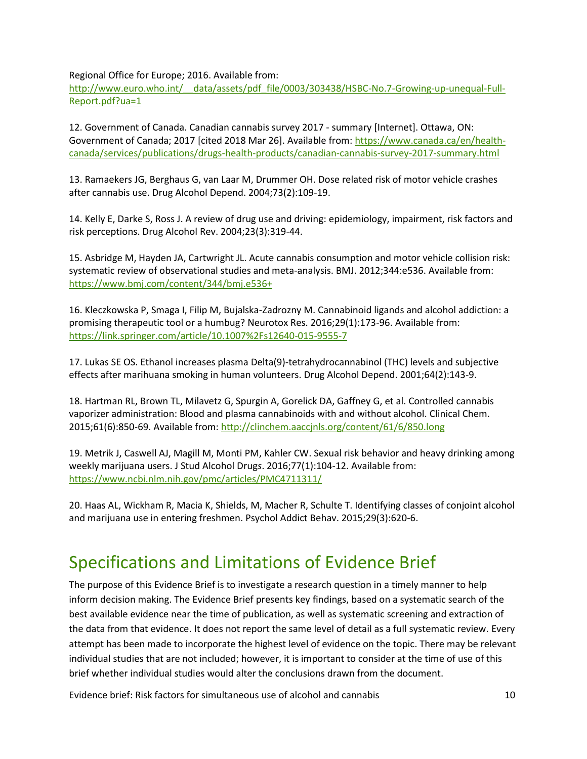Regional Office for Europe; 2016. Available from:

http://www.euro.who.int/ data/assets/pdf file/0003/303438/HSBC-No.7-Growing-up-unequal-Full-[Report.pdf?ua=1](http://www.euro.who.int/__data/assets/pdf_file/0003/303438/HSBC-No.7-Growing-up-unequal-Full-Report.pdf?ua=1)

12. Government of Canada. Canadian cannabis survey 2017 - summary [Internet]. Ottawa, ON: Government of Canada; 2017 [cited 2018 Mar 26]. Available from: [https://www.canada.ca/en/health](https://www.canada.ca/en/health-canada/services/publications/drugs-health-products/canadian-cannabis-survey-2017-summary.html)[canada/services/publications/drugs-health-products/canadian-cannabis-survey-2017-summary.html](https://www.canada.ca/en/health-canada/services/publications/drugs-health-products/canadian-cannabis-survey-2017-summary.html)

13. Ramaekers JG, Berghaus G, van Laar M, Drummer OH. Dose related risk of motor vehicle crashes after cannabis use. Drug Alcohol Depend. 2004;73(2):109-19.

14. Kelly E, Darke S, Ross J. A review of drug use and driving: epidemiology, impairment, risk factors and risk perceptions. Drug Alcohol Rev. 2004;23(3):319-44.

15. Asbridge M, Hayden JA, Cartwright JL. Acute cannabis consumption and motor vehicle collision risk: systematic review of observational studies and meta-analysis. BMJ. 2012;344:e536. Available from: <https://www.bmj.com/content/344/bmj.e536+>

16. Kleczkowska P, Smaga I, Filip M, Bujalska-Zadrozny M. Cannabinoid ligands and alcohol addiction: a promising therapeutic tool or a humbug? Neurotox Res. 2016;29(1):173-96. Available from: <https://link.springer.com/article/10.1007%2Fs12640-015-9555-7>

17. Lukas SE OS. Ethanol increases plasma Delta(9)-tetrahydrocannabinol (THC) levels and subjective effects after marihuana smoking in human volunteers. Drug Alcohol Depend. 2001;64(2):143-9.

18. Hartman RL, Brown TL, Milavetz G, Spurgin A, Gorelick DA, Gaffney G, et al. Controlled cannabis vaporizer administration: Blood and plasma cannabinoids with and without alcohol. Clinical Chem. 2015;61(6):850-69. Available from[: http://clinchem.aaccjnls.org/content/61/6/850.long](http://clinchem.aaccjnls.org/content/61/6/850.long)

19. Metrik J, Caswell AJ, Magill M, Monti PM, Kahler CW. Sexual risk behavior and heavy drinking among weekly marijuana users. J Stud Alcohol Drug*s*. 2016;77(1):104-12. Available from: <https://www.ncbi.nlm.nih.gov/pmc/articles/PMC4711311/>

20. Haas AL, Wickham R, Macia K, Shields, M, Macher R, Schulte T. Identifying classes of conjoint alcohol and marijuana use in entering freshmen. Psychol Addict Behav. 2015;29(3):620-6.

### Specifications and Limitations of Evidence Brief

The purpose of this Evidence Brief is to investigate a research question in a timely manner to help inform decision making. The Evidence Brief presents key findings, based on a systematic search of the best available evidence near the time of publication, as well as systematic screening and extraction of the data from that evidence. It does not report the same level of detail as a full systematic review. Every attempt has been made to incorporate the highest level of evidence on the topic. There may be relevant individual studies that are not included; however, it is important to consider at the time of use of this brief whether individual studies would alter the conclusions drawn from the document.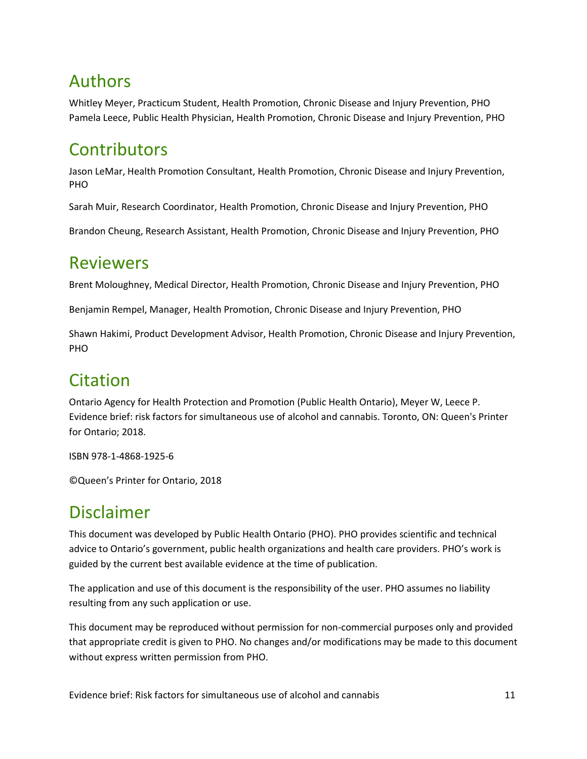# Authors

Whitley Meyer, Practicum Student, Health Promotion, Chronic Disease and Injury Prevention, PHO Pamela Leece, Public Health Physician, Health Promotion, Chronic Disease and Injury Prevention, PHO

### **Contributors**

Jason LeMar, Health Promotion Consultant, Health Promotion, Chronic Disease and Injury Prevention, PHO

Sarah Muir, Research Coordinator, Health Promotion, Chronic Disease and Injury Prevention, PHO

Brandon Cheung, Research Assistant, Health Promotion, Chronic Disease and Injury Prevention, PHO

### Reviewers

Brent Moloughney, Medical Director, Health Promotion, Chronic Disease and Injury Prevention, PHO

Benjamin Rempel, Manager, Health Promotion, Chronic Disease and Injury Prevention, PHO

Shawn Hakimi, Product Development Advisor, Health Promotion, Chronic Disease and Injury Prevention, PHO

### Citation

Ontario Agency for Health Protection and Promotion (Public Health Ontario), Meyer W, Leece P. Evidence brief: risk factors for simultaneous use of alcohol and cannabis. Toronto, ON: Queen's Printer for Ontario; 2018.

ISBN 978-1-4868-1925-6

©Queen's Printer for Ontario, 2018

### Disclaimer

This document was developed by Public Health Ontario (PHO). PHO provides scientific and technical advice to Ontario's government, public health organizations and health care providers. PHO's work is guided by the current best available evidence at the time of publication.

The application and use of this document is the responsibility of the user. PHO assumes no liability resulting from any such application or use.

This document may be reproduced without permission for non-commercial purposes only and provided that appropriate credit is given to PHO. No changes and/or modifications may be made to this document without express written permission from PHO.